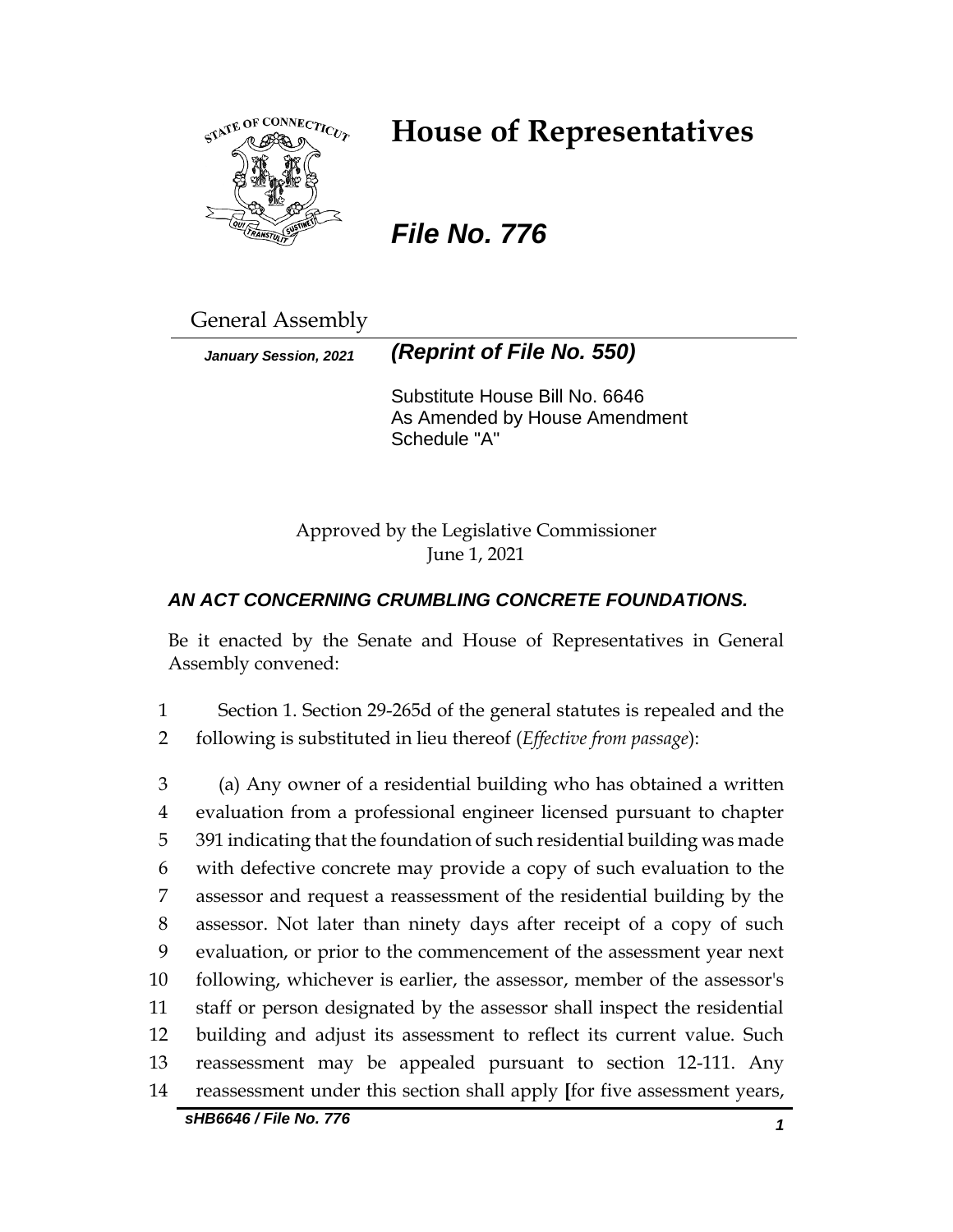

# **House of Representatives**

*File No. 776*

General Assembly

*January Session, 2021 (Reprint of File No. 550)*

Substitute House Bill No. 6646 As Amended by House Amendment Schedule "A"

Approved by the Legislative Commissioner June 1, 2021

## *AN ACT CONCERNING CRUMBLING CONCRETE FOUNDATIONS.*

Be it enacted by the Senate and House of Representatives in General Assembly convened:

1 Section 1. Section 29-265d of the general statutes is repealed and the 2 following is substituted in lieu thereof (*Effective from passage*):

 (a) Any owner of a residential building who has obtained a written evaluation from a professional engineer licensed pursuant to chapter 391 indicating that the foundation of such residential building was made with defective concrete may provide a copy of such evaluation to the assessor and request a reassessment of the residential building by the assessor. Not later than ninety days after receipt of a copy of such evaluation, or prior to the commencement of the assessment year next following, whichever is earlier, the assessor, member of the assessor's staff or person designated by the assessor shall inspect the residential building and adjust its assessment to reflect its current value. Such reassessment may be appealed pursuant to section 12-111. Any reassessment under this section shall apply **[**for five assessment years,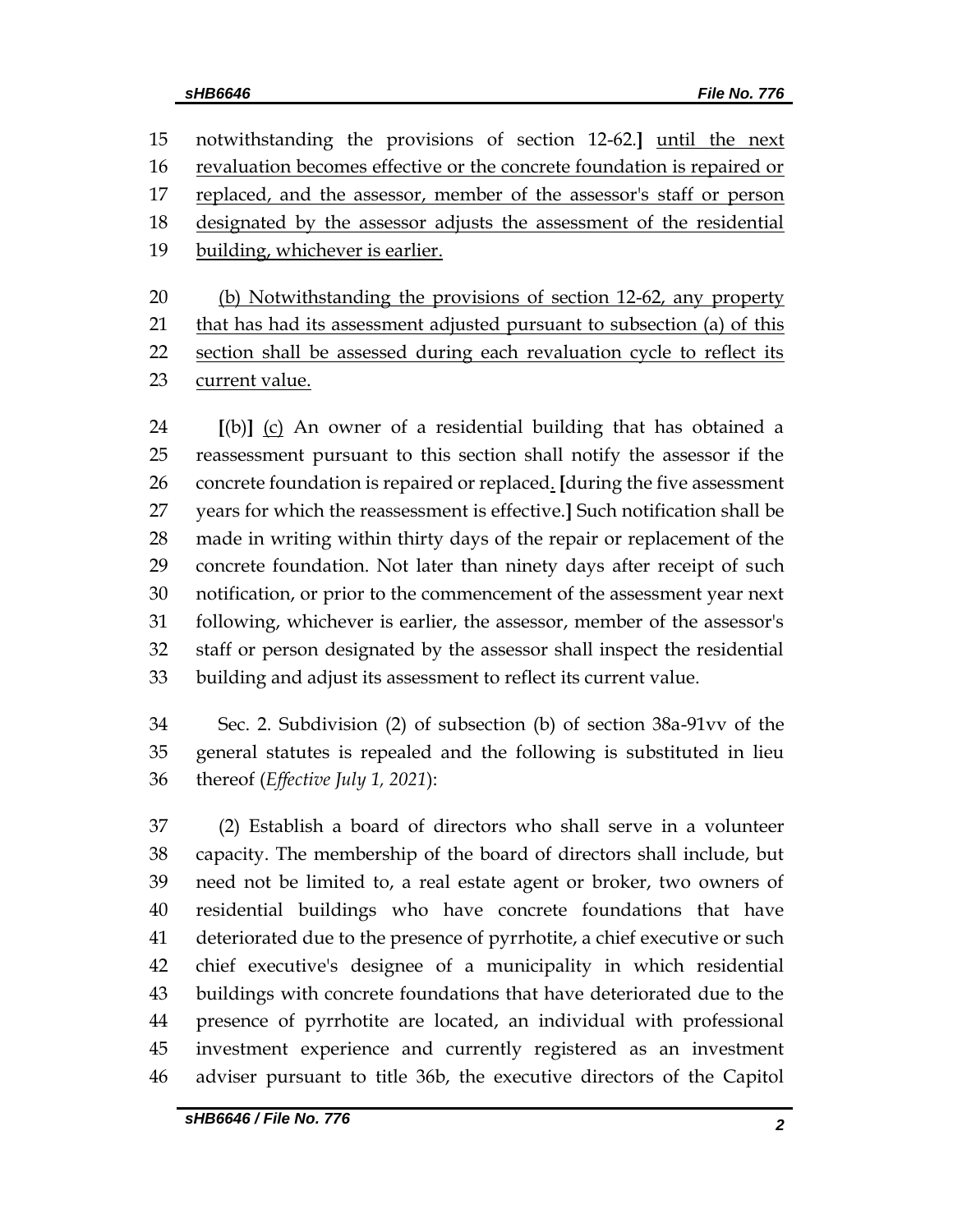notwithstanding the provisions of section 12-62.**]** until the next revaluation becomes effective or the concrete foundation is repaired or 17 replaced, and the assessor, member of the assessor's staff or person designated by the assessor adjusts the assessment of the residential building, whichever is earlier.

 (b) Notwithstanding the provisions of section 12-62, any property that has had its assessment adjusted pursuant to subsection (a) of this section shall be assessed during each revaluation cycle to reflect its 23 current value.

 **[**(b)**]** (c) An owner of a residential building that has obtained a reassessment pursuant to this section shall notify the assessor if the concrete foundation is repaired or replaced. **[**during the five assessment years for which the reassessment is effective.**]** Such notification shall be made in writing within thirty days of the repair or replacement of the concrete foundation. Not later than ninety days after receipt of such notification, or prior to the commencement of the assessment year next following, whichever is earlier, the assessor, member of the assessor's staff or person designated by the assessor shall inspect the residential building and adjust its assessment to reflect its current value.

 Sec. 2. Subdivision (2) of subsection (b) of section 38a-91vv of the general statutes is repealed and the following is substituted in lieu thereof (*Effective July 1, 2021*):

 (2) Establish a board of directors who shall serve in a volunteer capacity. The membership of the board of directors shall include, but need not be limited to, a real estate agent or broker, two owners of residential buildings who have concrete foundations that have deteriorated due to the presence of pyrrhotite, a chief executive or such chief executive's designee of a municipality in which residential buildings with concrete foundations that have deteriorated due to the presence of pyrrhotite are located, an individual with professional investment experience and currently registered as an investment adviser pursuant to title 36b, the executive directors of the Capitol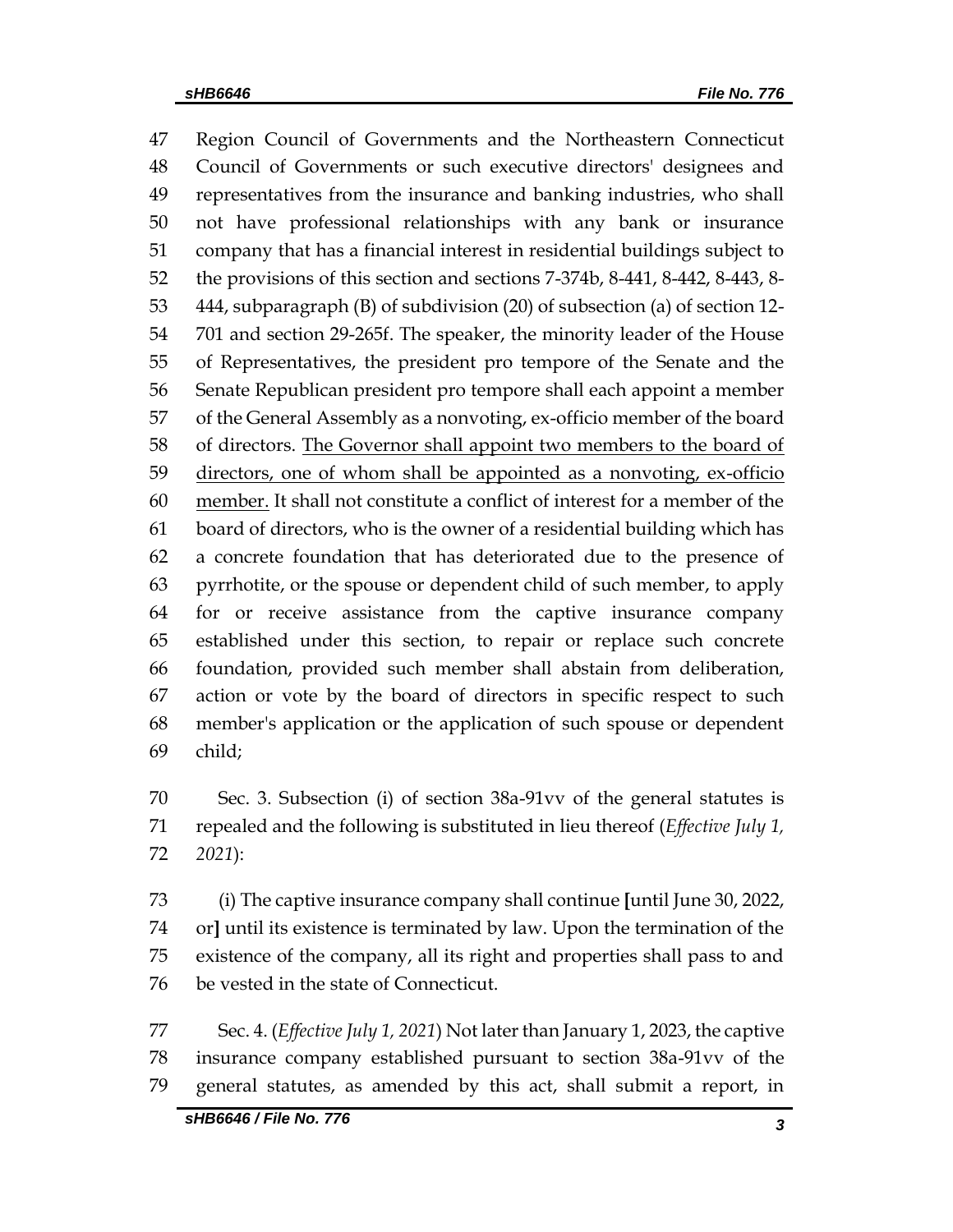Region Council of Governments and the Northeastern Connecticut Council of Governments or such executive directors' designees and representatives from the insurance and banking industries, who shall not have professional relationships with any bank or insurance company that has a financial interest in residential buildings subject to the provisions of this section and sections 7-374b, 8-441, 8-442, 8-443, 8- 444, subparagraph (B) of subdivision (20) of subsection (a) of section 12- 701 and section 29-265f. The speaker, the minority leader of the House of Representatives, the president pro tempore of the Senate and the Senate Republican president pro tempore shall each appoint a member of the General Assembly as a nonvoting, ex-officio member of the board of directors. The Governor shall appoint two members to the board of directors, one of whom shall be appointed as a nonvoting, ex-officio member. It shall not constitute a conflict of interest for a member of the board of directors, who is the owner of a residential building which has a concrete foundation that has deteriorated due to the presence of pyrrhotite, or the spouse or dependent child of such member, to apply for or receive assistance from the captive insurance company established under this section, to repair or replace such concrete foundation, provided such member shall abstain from deliberation, action or vote by the board of directors in specific respect to such member's application or the application of such spouse or dependent child;

 Sec. 3. Subsection (i) of section 38a-91vv of the general statutes is repealed and the following is substituted in lieu thereof (*Effective July 1, 2021*):

 (i) The captive insurance company shall continue **[**until June 30, 2022, or**]** until its existence is terminated by law. Upon the termination of the existence of the company, all its right and properties shall pass to and be vested in the state of Connecticut.

 Sec. 4. (*Effective July 1, 2021*) Not later than January 1, 2023, the captive insurance company established pursuant to section 38a-91vv of the general statutes, as amended by this act, shall submit a report, in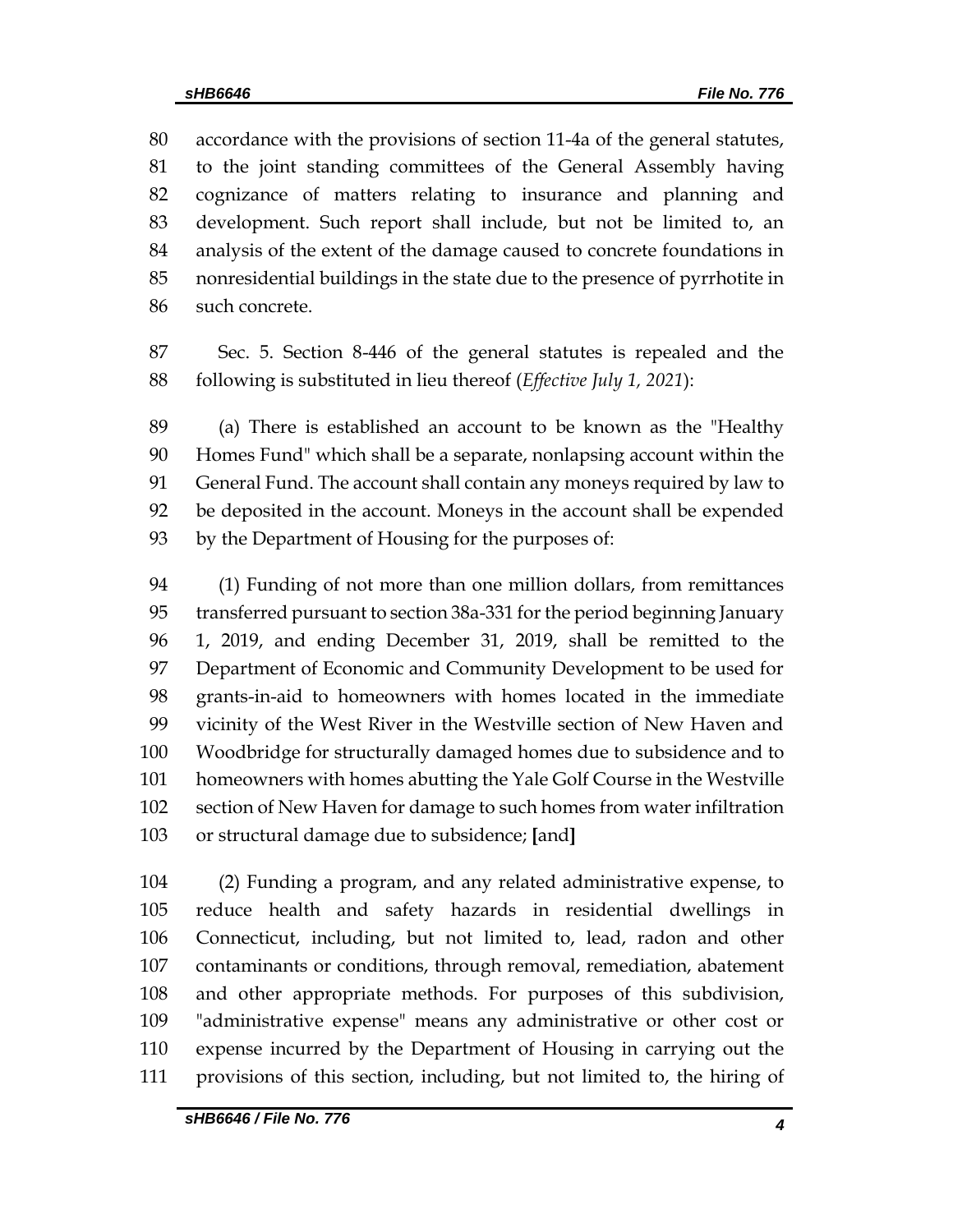accordance with the provisions of section 11-4a of the general statutes, to the joint standing committees of the General Assembly having cognizance of matters relating to insurance and planning and development. Such report shall include, but not be limited to, an analysis of the extent of the damage caused to concrete foundations in nonresidential buildings in the state due to the presence of pyrrhotite in such concrete.

 Sec. 5. Section 8-446 of the general statutes is repealed and the following is substituted in lieu thereof (*Effective July 1, 2021*):

 (a) There is established an account to be known as the "Healthy Homes Fund" which shall be a separate, nonlapsing account within the General Fund. The account shall contain any moneys required by law to be deposited in the account. Moneys in the account shall be expended by the Department of Housing for the purposes of:

 (1) Funding of not more than one million dollars, from remittances transferred pursuant to section 38a-331 for the period beginning January 1, 2019, and ending December 31, 2019, shall be remitted to the Department of Economic and Community Development to be used for grants-in-aid to homeowners with homes located in the immediate vicinity of the West River in the Westville section of New Haven and Woodbridge for structurally damaged homes due to subsidence and to homeowners with homes abutting the Yale Golf Course in the Westville section of New Haven for damage to such homes from water infiltration or structural damage due to subsidence; **[**and**]**

 (2) Funding a program, and any related administrative expense, to reduce health and safety hazards in residential dwellings in Connecticut, including, but not limited to, lead, radon and other contaminants or conditions, through removal, remediation, abatement and other appropriate methods. For purposes of this subdivision, "administrative expense" means any administrative or other cost or expense incurred by the Department of Housing in carrying out the provisions of this section, including, but not limited to, the hiring of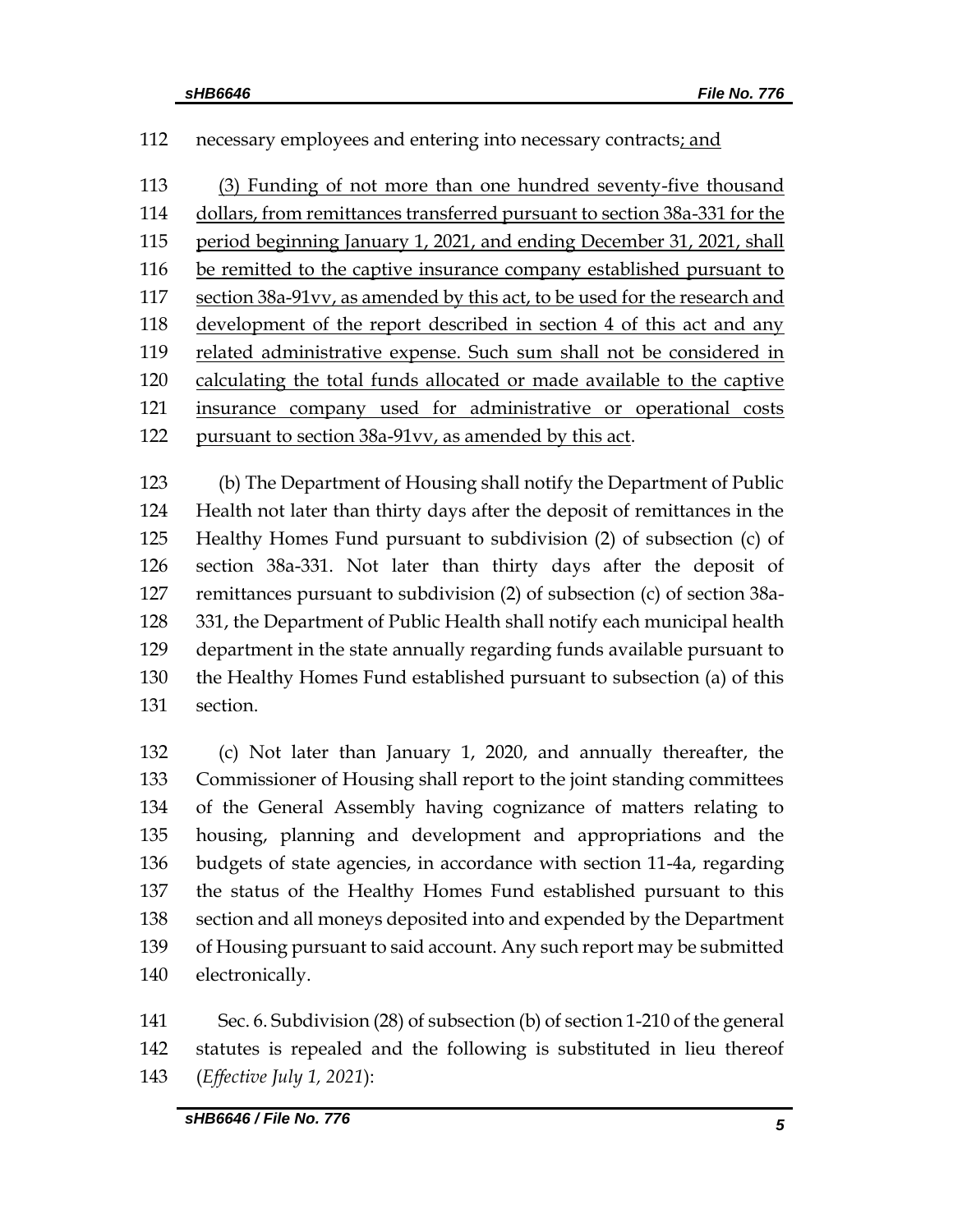#### 112 necessary employees and entering into necessary contracts; and

 (3) Funding of not more than one hundred seventy-five thousand dollars, from remittances transferred pursuant to section 38a-331 for the period beginning January 1, 2021, and ending December 31, 2021, shall 116 be remitted to the captive insurance company established pursuant to section 38a-91vv, as amended by this act, to be used for the research and development of the report described in section 4 of this act and any related administrative expense. Such sum shall not be considered in calculating the total funds allocated or made available to the captive insurance company used for administrative or operational costs pursuant to section 38a-91vv, as amended by this act.

 (b) The Department of Housing shall notify the Department of Public Health not later than thirty days after the deposit of remittances in the Healthy Homes Fund pursuant to subdivision (2) of subsection (c) of section 38a-331. Not later than thirty days after the deposit of remittances pursuant to subdivision (2) of subsection (c) of section 38a- 331, the Department of Public Health shall notify each municipal health department in the state annually regarding funds available pursuant to the Healthy Homes Fund established pursuant to subsection (a) of this section.

 (c) Not later than January 1, 2020, and annually thereafter, the Commissioner of Housing shall report to the joint standing committees of the General Assembly having cognizance of matters relating to housing, planning and development and appropriations and the budgets of state agencies, in accordance with section 11-4a, regarding the status of the Healthy Homes Fund established pursuant to this section and all moneys deposited into and expended by the Department of Housing pursuant to said account. Any such report may be submitted electronically.

 Sec. 6. Subdivision (28) of subsection (b) of section 1-210 of the general statutes is repealed and the following is substituted in lieu thereof (*Effective July 1, 2021*):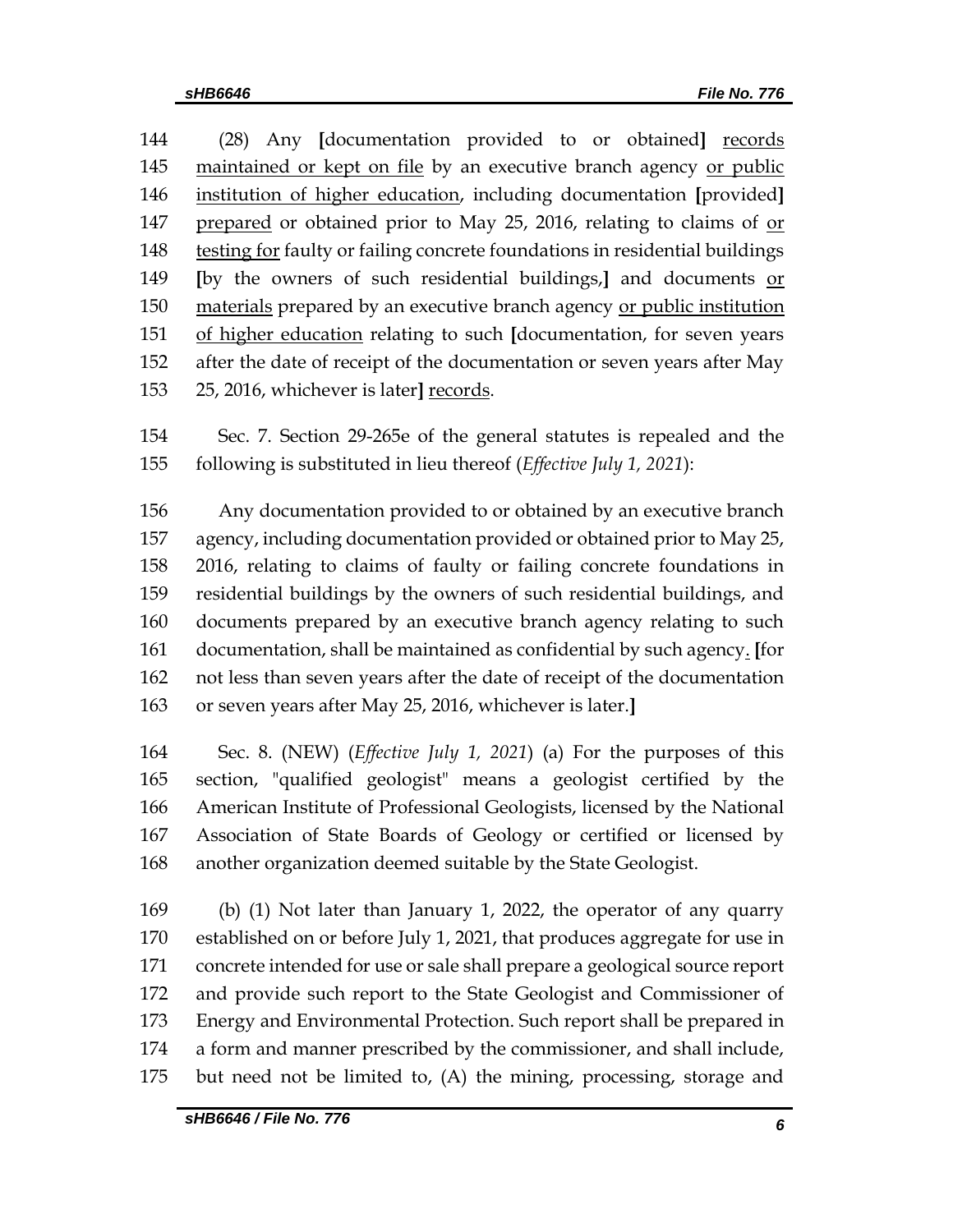(28) Any **[**documentation provided to or obtained**]** records 145 maintained or kept on file by an executive branch agency or public institution of higher education, including documentation **[**provided**]** prepared or obtained prior to May 25, 2016, relating to claims of or testing for faulty or failing concrete foundations in residential buildings **[**by the owners of such residential buildings,**]** and documents or 150 materials prepared by an executive branch agency or public institution of higher education relating to such **[**documentation, for seven years after the date of receipt of the documentation or seven years after May 25, 2016, whichever is later**]** records.

 Sec. 7. Section 29-265e of the general statutes is repealed and the following is substituted in lieu thereof (*Effective July 1, 2021*):

 Any documentation provided to or obtained by an executive branch agency, including documentation provided or obtained prior to May 25, 2016, relating to claims of faulty or failing concrete foundations in residential buildings by the owners of such residential buildings, and documents prepared by an executive branch agency relating to such documentation, shall be maintained as confidential by such agency. **[**for not less than seven years after the date of receipt of the documentation or seven years after May 25, 2016, whichever is later.**]**

 Sec. 8. (NEW) (*Effective July 1, 2021*) (a) For the purposes of this section, "qualified geologist" means a geologist certified by the American Institute of Professional Geologists, licensed by the National Association of State Boards of Geology or certified or licensed by another organization deemed suitable by the State Geologist.

 (b) (1) Not later than January 1, 2022, the operator of any quarry established on or before July 1, 2021, that produces aggregate for use in concrete intended for use or sale shall prepare a geological source report and provide such report to the State Geologist and Commissioner of Energy and Environmental Protection. Such report shall be prepared in a form and manner prescribed by the commissioner, and shall include, but need not be limited to, (A) the mining, processing, storage and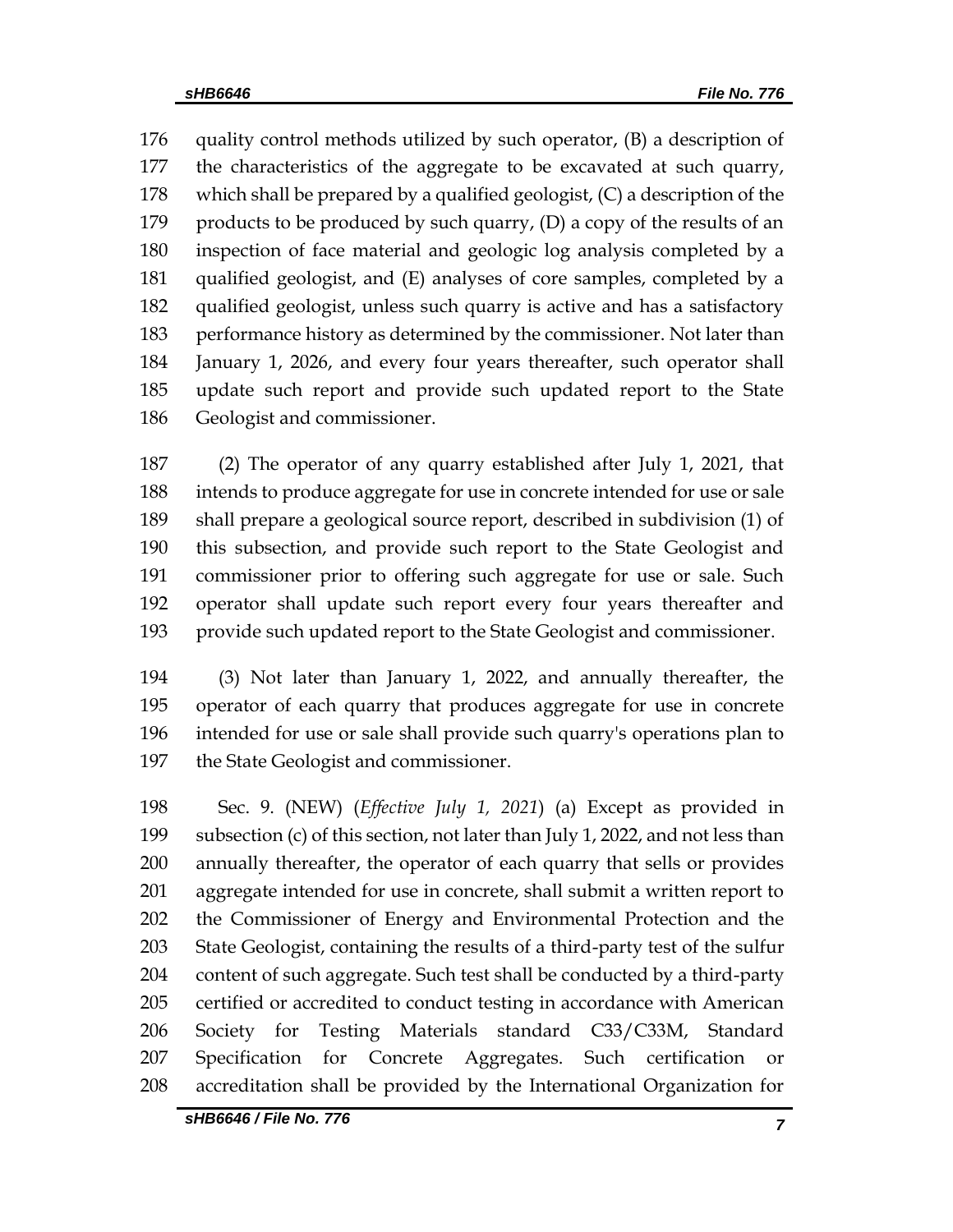quality control methods utilized by such operator, (B) a description of the characteristics of the aggregate to be excavated at such quarry, which shall be prepared by a qualified geologist, (C) a description of the 179 products to be produced by such quarry,  $(D)$  a copy of the results of an inspection of face material and geologic log analysis completed by a qualified geologist, and (E) analyses of core samples, completed by a qualified geologist, unless such quarry is active and has a satisfactory performance history as determined by the commissioner. Not later than January 1, 2026, and every four years thereafter, such operator shall update such report and provide such updated report to the State Geologist and commissioner.

 (2) The operator of any quarry established after July 1, 2021, that intends to produce aggregate for use in concrete intended for use or sale shall prepare a geological source report, described in subdivision (1) of this subsection, and provide such report to the State Geologist and commissioner prior to offering such aggregate for use or sale. Such operator shall update such report every four years thereafter and provide such updated report to the State Geologist and commissioner.

 (3) Not later than January 1, 2022, and annually thereafter, the operator of each quarry that produces aggregate for use in concrete intended for use or sale shall provide such quarry's operations plan to the State Geologist and commissioner.

 Sec. 9. (NEW) (*Effective July 1, 2021*) (a) Except as provided in subsection (c) of this section, not later than July 1, 2022, and not less than annually thereafter, the operator of each quarry that sells or provides aggregate intended for use in concrete, shall submit a written report to the Commissioner of Energy and Environmental Protection and the State Geologist, containing the results of a third-party test of the sulfur content of such aggregate. Such test shall be conducted by a third-party certified or accredited to conduct testing in accordance with American Society for Testing Materials standard C33/C33M, Standard 207 Specification for Concrete Aggregates. Such certification accreditation shall be provided by the International Organization for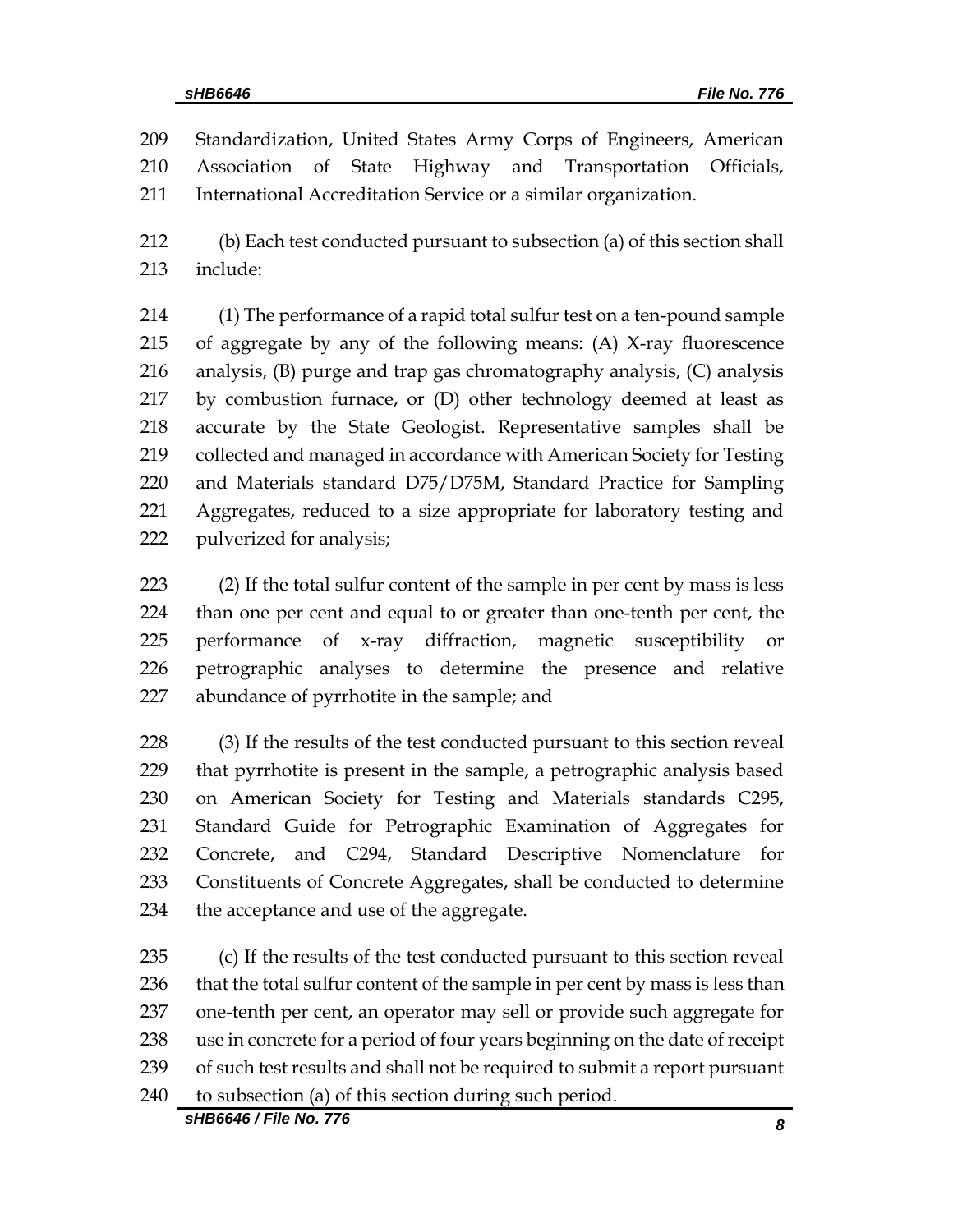Standardization, United States Army Corps of Engineers, American Association of State Highway and Transportation Officials, International Accreditation Service or a similar organization.

 (b) Each test conducted pursuant to subsection (a) of this section shall include:

 (1) The performance of a rapid total sulfur test on a ten-pound sample of aggregate by any of the following means: (A) X-ray fluorescence analysis, (B) purge and trap gas chromatography analysis, (C) analysis by combustion furnace, or (D) other technology deemed at least as accurate by the State Geologist. Representative samples shall be collected and managed in accordance with American Society for Testing and Materials standard D75/D75M, Standard Practice for Sampling Aggregates, reduced to a size appropriate for laboratory testing and pulverized for analysis;

 (2) If the total sulfur content of the sample in per cent by mass is less than one per cent and equal to or greater than one-tenth per cent, the performance of x-ray diffraction, magnetic susceptibility or petrographic analyses to determine the presence and relative abundance of pyrrhotite in the sample; and

 (3) If the results of the test conducted pursuant to this section reveal that pyrrhotite is present in the sample, a petrographic analysis based on American Society for Testing and Materials standards C295, Standard Guide for Petrographic Examination of Aggregates for Concrete, and C294, Standard Descriptive Nomenclature for Constituents of Concrete Aggregates, shall be conducted to determine 234 the acceptance and use of the aggregate.

 (c) If the results of the test conducted pursuant to this section reveal 236 that the total sulfur content of the sample in per cent by mass is less than one-tenth per cent, an operator may sell or provide such aggregate for use in concrete for a period of four years beginning on the date of receipt of such test results and shall not be required to submit a report pursuant 240 to subsection (a) of this section during such period.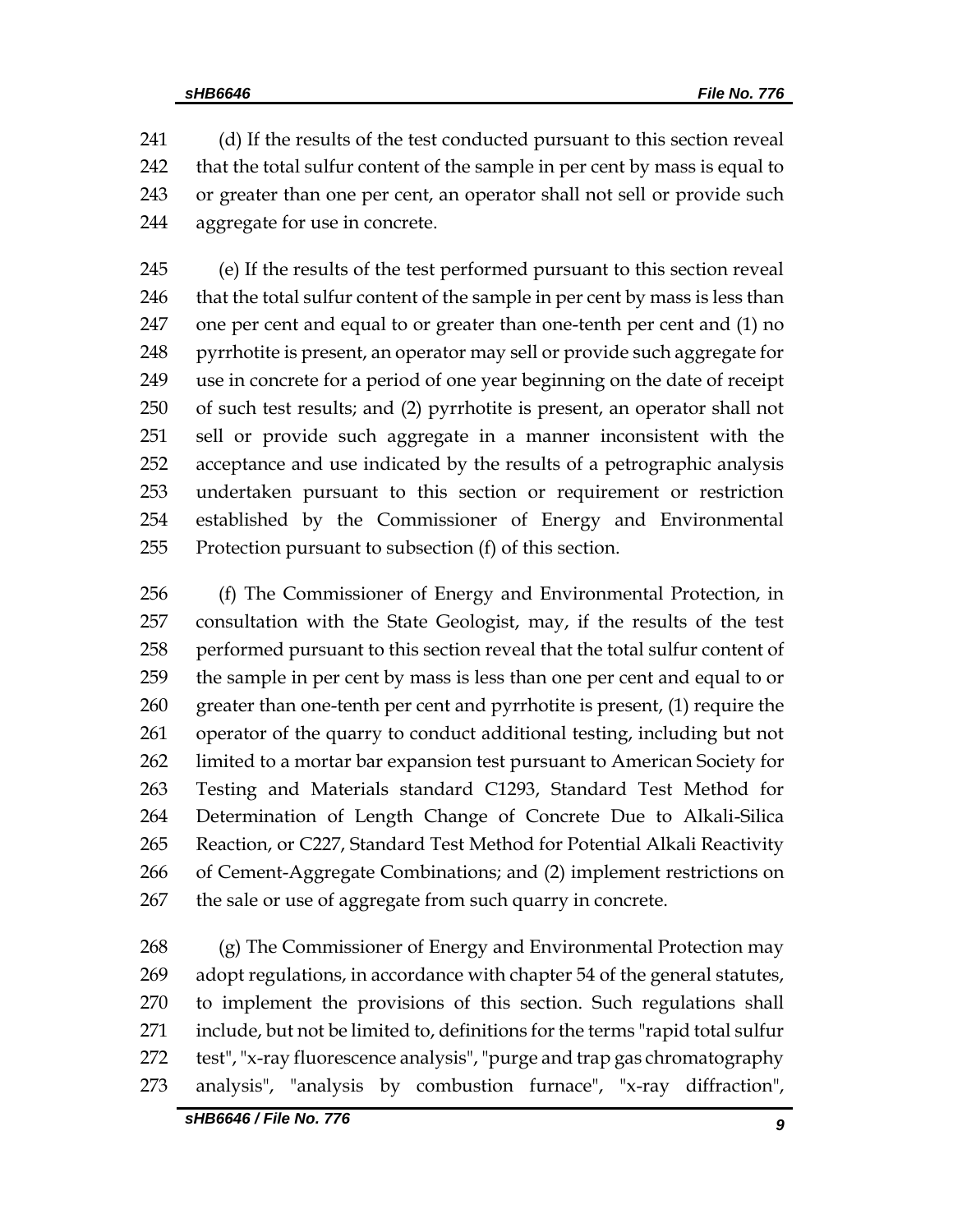(d) If the results of the test conducted pursuant to this section reveal that the total sulfur content of the sample in per cent by mass is equal to or greater than one per cent, an operator shall not sell or provide such aggregate for use in concrete.

 (e) If the results of the test performed pursuant to this section reveal 246 that the total sulfur content of the sample in per cent by mass is less than one per cent and equal to or greater than one-tenth per cent and (1) no 248 pyrrhotite is present, an operator may sell or provide such aggregate for use in concrete for a period of one year beginning on the date of receipt of such test results; and (2) pyrrhotite is present, an operator shall not sell or provide such aggregate in a manner inconsistent with the acceptance and use indicated by the results of a petrographic analysis undertaken pursuant to this section or requirement or restriction established by the Commissioner of Energy and Environmental Protection pursuant to subsection (f) of this section.

 (f) The Commissioner of Energy and Environmental Protection, in consultation with the State Geologist, may, if the results of the test performed pursuant to this section reveal that the total sulfur content of the sample in per cent by mass is less than one per cent and equal to or greater than one-tenth per cent and pyrrhotite is present, (1) require the operator of the quarry to conduct additional testing, including but not limited to a mortar bar expansion test pursuant to American Society for Testing and Materials standard C1293, Standard Test Method for Determination of Length Change of Concrete Due to Alkali-Silica Reaction, or C227, Standard Test Method for Potential Alkali Reactivity of Cement-Aggregate Combinations; and (2) implement restrictions on the sale or use of aggregate from such quarry in concrete.

 (g) The Commissioner of Energy and Environmental Protection may adopt regulations, in accordance with chapter 54 of the general statutes, to implement the provisions of this section. Such regulations shall include, but not be limited to, definitions for the terms "rapid total sulfur test", "x-ray fluorescence analysis", "purge and trap gas chromatography analysis", "analysis by combustion furnace", "x-ray diffraction",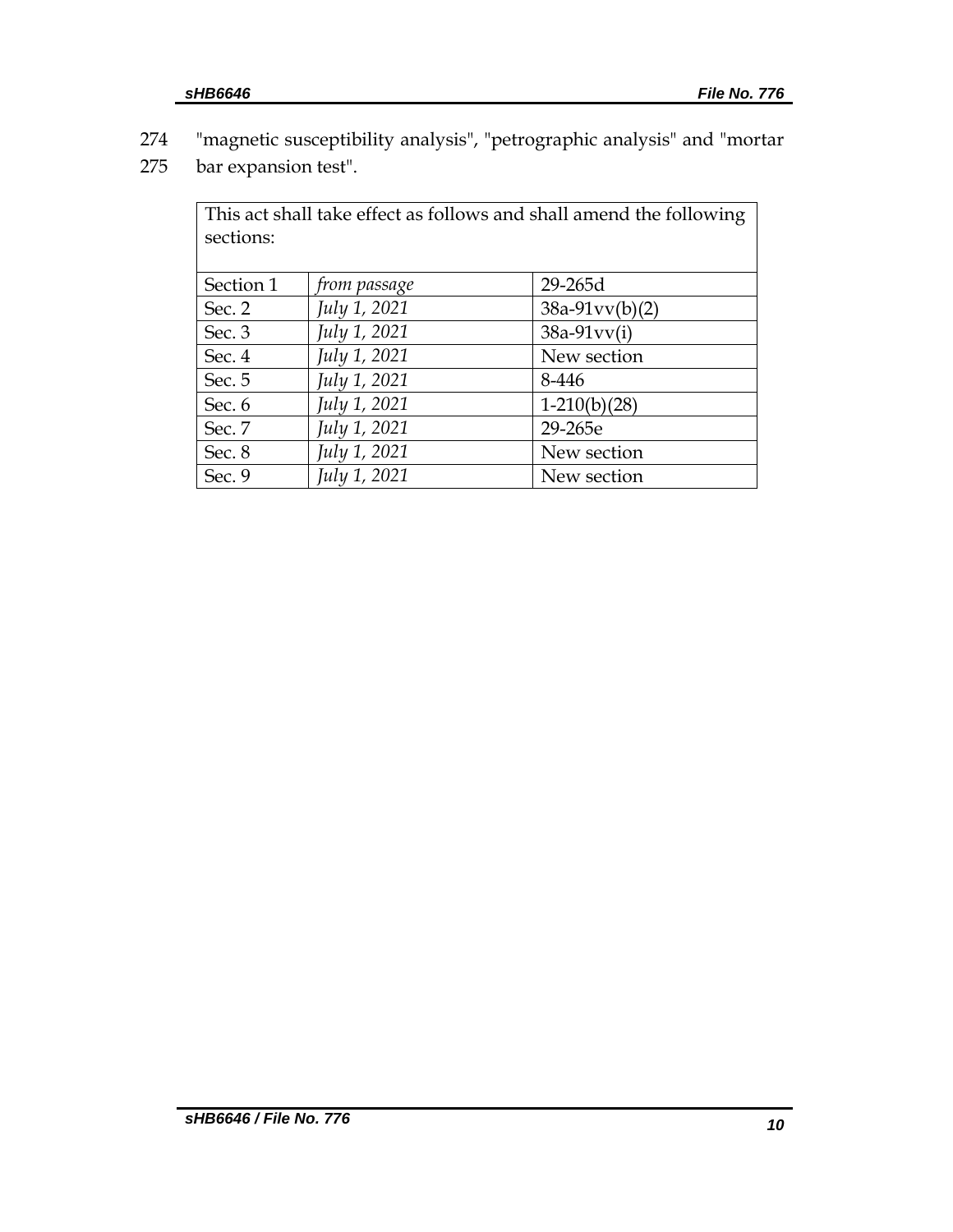274 "magnetic susceptibility analysis", "petrographic analysis" and "mortar 275 bar expansion test".

| This act shall take effect as follows and shall amend the following<br>sections: |              |                  |  |  |  |
|----------------------------------------------------------------------------------|--------------|------------------|--|--|--|
| Section 1                                                                        | from passage | 29-265d          |  |  |  |
| Sec. 2                                                                           | July 1, 2021 | $38a-91vv(b)(2)$ |  |  |  |
| Sec. 3                                                                           | July 1, 2021 | $38a-91vv(i)$    |  |  |  |
| Sec. 4                                                                           | July 1, 2021 | New section      |  |  |  |
| Sec. 5                                                                           | July 1, 2021 | 8-446            |  |  |  |
| Sec. 6                                                                           | July 1, 2021 | $1-210(b)(28)$   |  |  |  |
| Sec. 7                                                                           | July 1, 2021 | 29-265e          |  |  |  |
| Sec. 8                                                                           | July 1, 2021 | New section      |  |  |  |
| Sec. 9                                                                           | July 1, 2021 | New section      |  |  |  |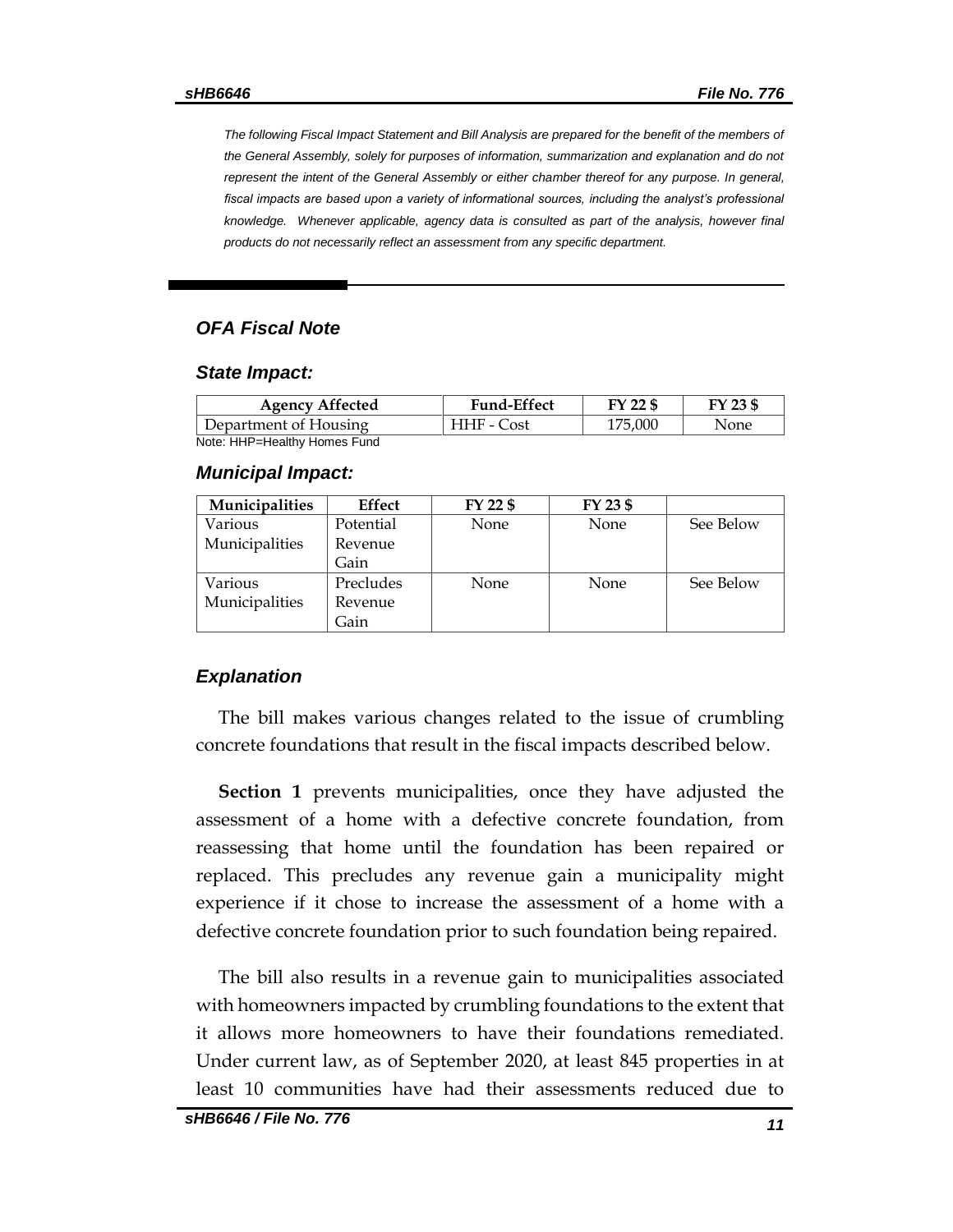*The following Fiscal Impact Statement and Bill Analysis are prepared for the benefit of the members of the General Assembly, solely for purposes of information, summarization and explanation and do not represent the intent of the General Assembly or either chamber thereof for any purpose. In general,*  fiscal impacts are based upon a variety of informational sources, including the analyst's professional *knowledge. Whenever applicable, agency data is consulted as part of the analysis, however final products do not necessarily reflect an assessment from any specific department.*

#### *OFA Fiscal Note*

#### *State Impact:*

| <b>Agency Affected</b>       | <b>Fund-Effect</b> | FY 22 \$ | FY 23 \$ |
|------------------------------|--------------------|----------|----------|
| Department of Housing        | HHF - Cost         | 175.000  | None     |
| Note: HHP=Healthy Homes Fund |                    |          |          |

#### *Municipal Impact:*

| Municipalities | Effect    | FY 22 \$    | FY 23 \$ |           |
|----------------|-----------|-------------|----------|-----------|
| Various        | Potential | None        | None     | See Below |
| Municipalities | Revenue   |             |          |           |
|                | Gain      |             |          |           |
| Various        | Precludes | <b>None</b> | None     | See Below |
| Municipalities | Revenue   |             |          |           |
|                | Gain      |             |          |           |

#### *Explanation*

The bill makes various changes related to the issue of crumbling concrete foundations that result in the fiscal impacts described below.

**Section 1** prevents municipalities, once they have adjusted the assessment of a home with a defective concrete foundation, from reassessing that home until the foundation has been repaired or replaced. This precludes any revenue gain a municipality might experience if it chose to increase the assessment of a home with a defective concrete foundation prior to such foundation being repaired.

The bill also results in a revenue gain to municipalities associated with homeowners impacted by crumbling foundations to the extent that it allows more homeowners to have their foundations remediated. Under current law, as of September 2020, at least 845 properties in at least 10 communities have had their assessments reduced due to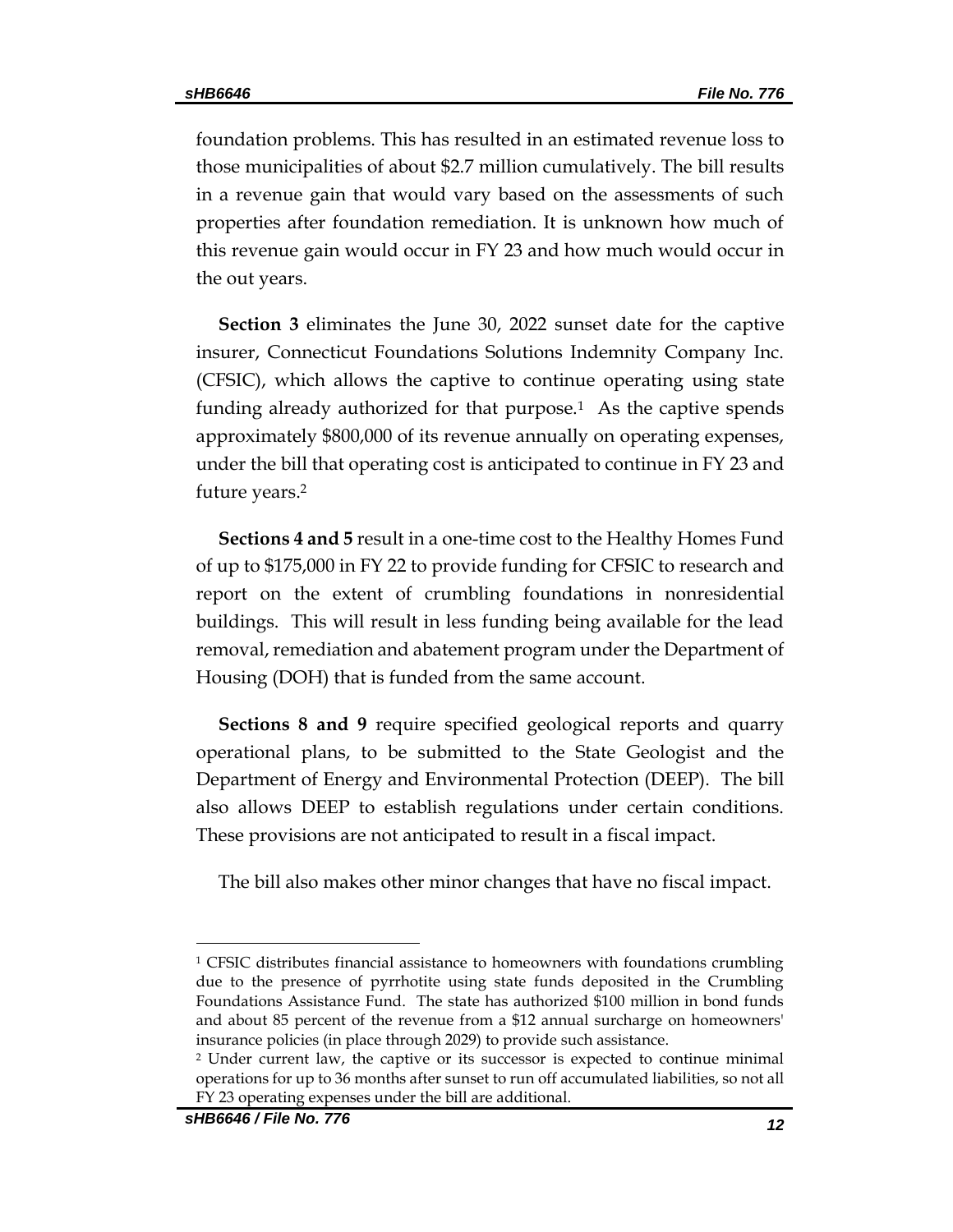foundation problems. This has resulted in an estimated revenue loss to those municipalities of about \$2.7 million cumulatively. The bill results in a revenue gain that would vary based on the assessments of such properties after foundation remediation. It is unknown how much of this revenue gain would occur in FY 23 and how much would occur in the out years.

**Section 3** eliminates the June 30, 2022 sunset date for the captive insurer, Connecticut Foundations Solutions Indemnity Company Inc. (CFSIC), which allows the captive to continue operating using state funding already authorized for that purpose.<sup>1</sup> As the captive spends approximately \$800,000 of its revenue annually on operating expenses, under the bill that operating cost is anticipated to continue in FY 23 and future years. 2

**Sections 4 and 5** result in a one-time cost to the Healthy Homes Fund of up to \$175,000 in FY 22 to provide funding for CFSIC to research and report on the extent of crumbling foundations in nonresidential buildings. This will result in less funding being available for the lead removal, remediation and abatement program under the Department of Housing (DOH) that is funded from the same account.

**Sections 8 and 9** require specified geological reports and quarry operational plans, to be submitted to the State Geologist and the Department of Energy and Environmental Protection (DEEP). The bill also allows DEEP to establish regulations under certain conditions. These provisions are not anticipated to result in a fiscal impact.

The bill also makes other minor changes that have no fiscal impact.

 $\overline{a}$ 

<sup>1</sup> CFSIC distributes financial assistance to homeowners with foundations crumbling due to the presence of pyrrhotite using state funds deposited in the Crumbling Foundations Assistance Fund. The state has authorized \$100 million in bond funds and about 85 percent of the revenue from a \$12 annual surcharge on homeowners' insurance policies (in place through 2029) to provide such assistance.

<sup>2</sup> Under current law, the captive or its successor is expected to continue minimal operations for up to 36 months after sunset to run off accumulated liabilities, so not all FY 23 operating expenses under the bill are additional.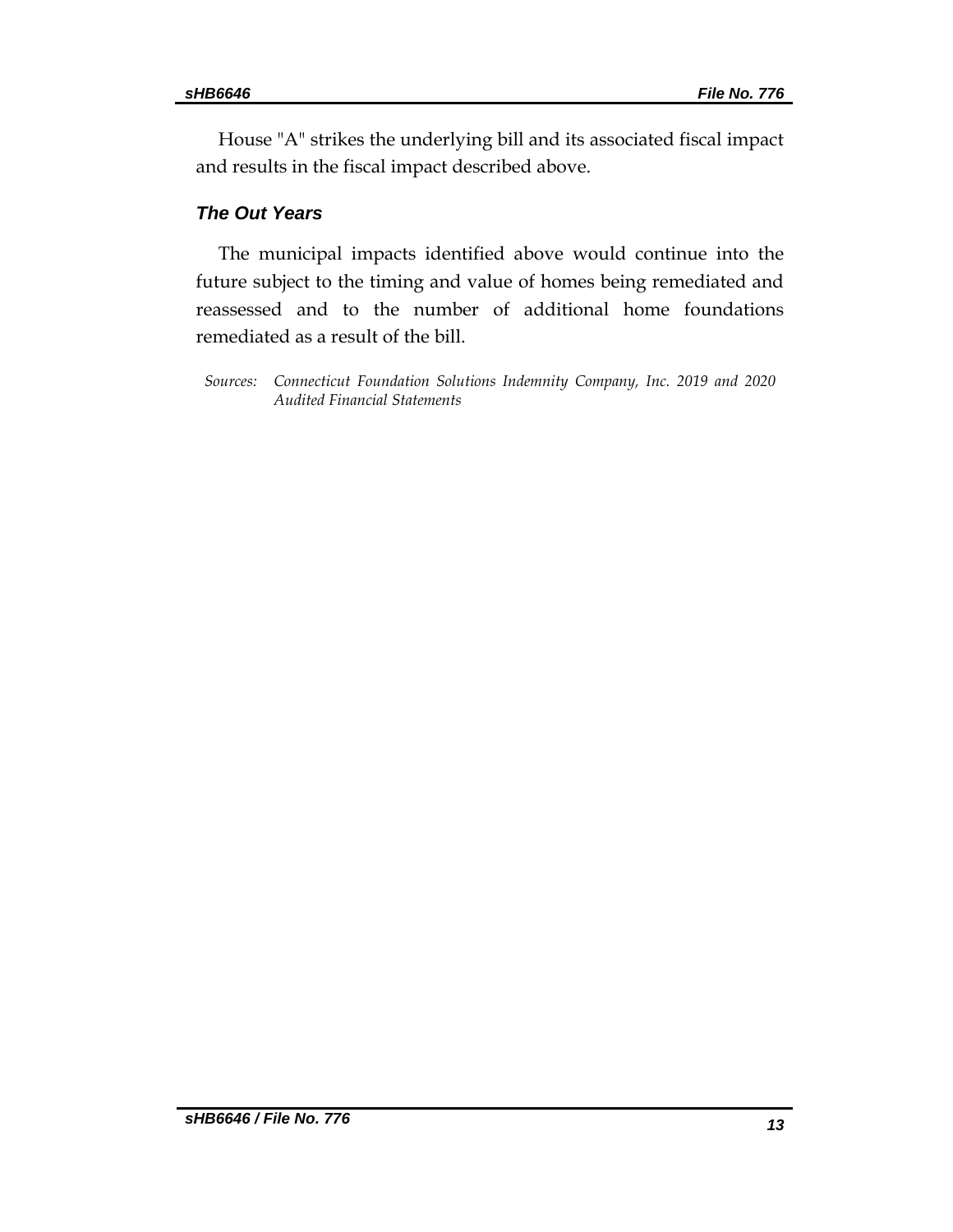House "A" strikes the underlying bill and its associated fiscal impact and results in the fiscal impact described above.

### *The Out Years*

The municipal impacts identified above would continue into the future subject to the timing and value of homes being remediated and reassessed and to the number of additional home foundations remediated as a result of the bill.

*Sources: Connecticut Foundation Solutions Indemnity Company, Inc. 2019 and 2020 Audited Financial Statements*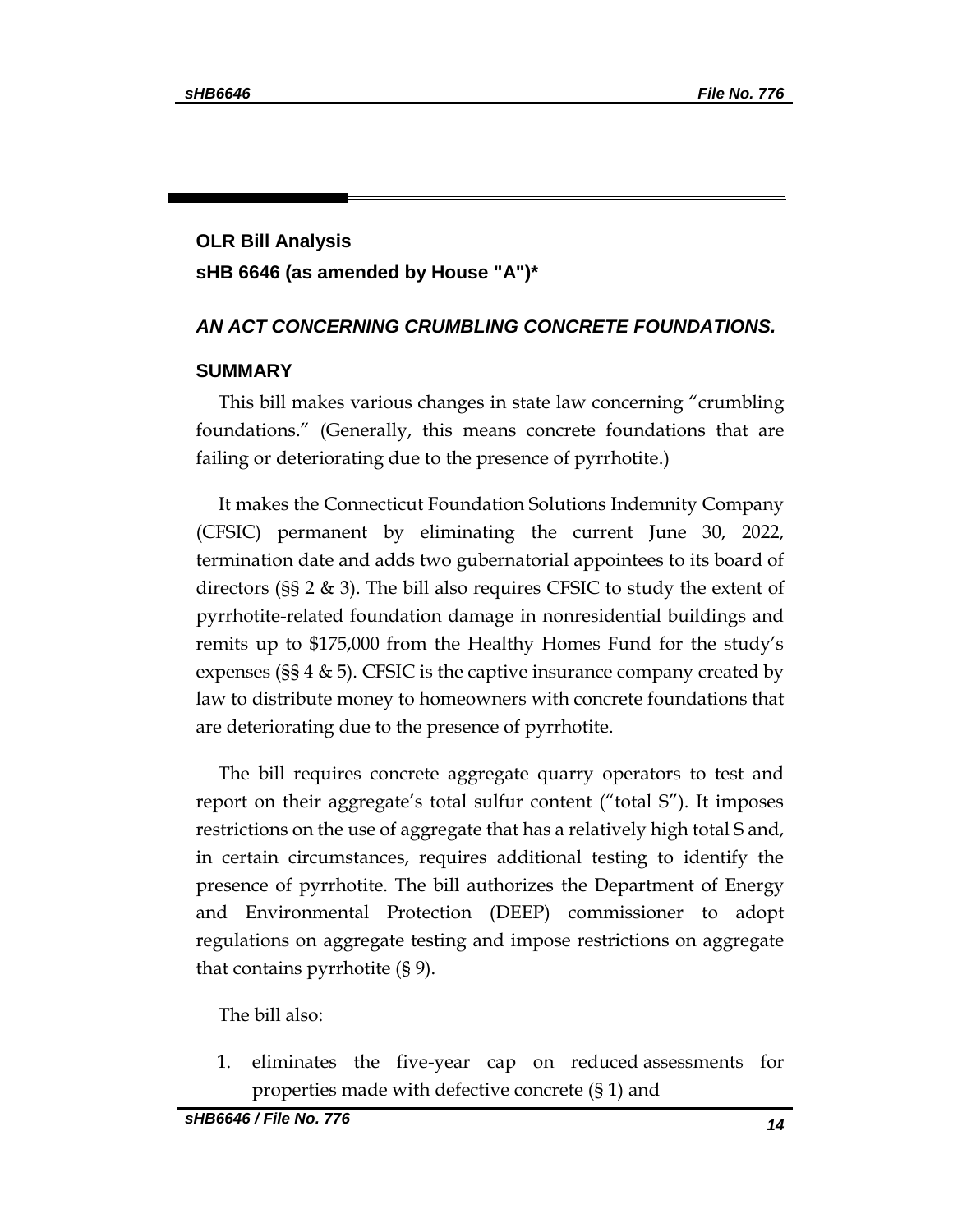# **OLR Bill Analysis sHB 6646 (as amended by House "A")\***

#### *AN ACT CONCERNING CRUMBLING CONCRETE FOUNDATIONS.*

#### **SUMMARY**

This bill makes various changes in state law concerning "crumbling foundations." (Generally, this means concrete foundations that are failing or deteriorating due to the presence of pyrrhotite.)

It makes the Connecticut Foundation Solutions Indemnity Company (CFSIC) permanent by eliminating the current June 30, 2022, termination date and adds two gubernatorial appointees to its board of directors (§§ 2 & 3). The bill also requires CFSIC to study the extent of pyrrhotite-related foundation damage in nonresidential buildings and remits up to \$175,000 from the Healthy Homes Fund for the study's expenses ( $\S 4 \& 5$ ). CFSIC is the captive insurance company created by law to distribute money to homeowners with concrete foundations that are deteriorating due to the presence of pyrrhotite.

The bill requires concrete aggregate quarry operators to test and report on their aggregate's total sulfur content ("total S"). It imposes restrictions on the use of aggregate that has a relatively high total S and, in certain circumstances, requires additional testing to identify the presence of pyrrhotite. The bill authorizes the Department of Energy and Environmental Protection (DEEP) commissioner to adopt regulations on aggregate testing and impose restrictions on aggregate that contains pyrrhotite (§ 9).

The bill also:

1. eliminates the five-year cap on reduced assessments for properties made with defective concrete (§ 1) and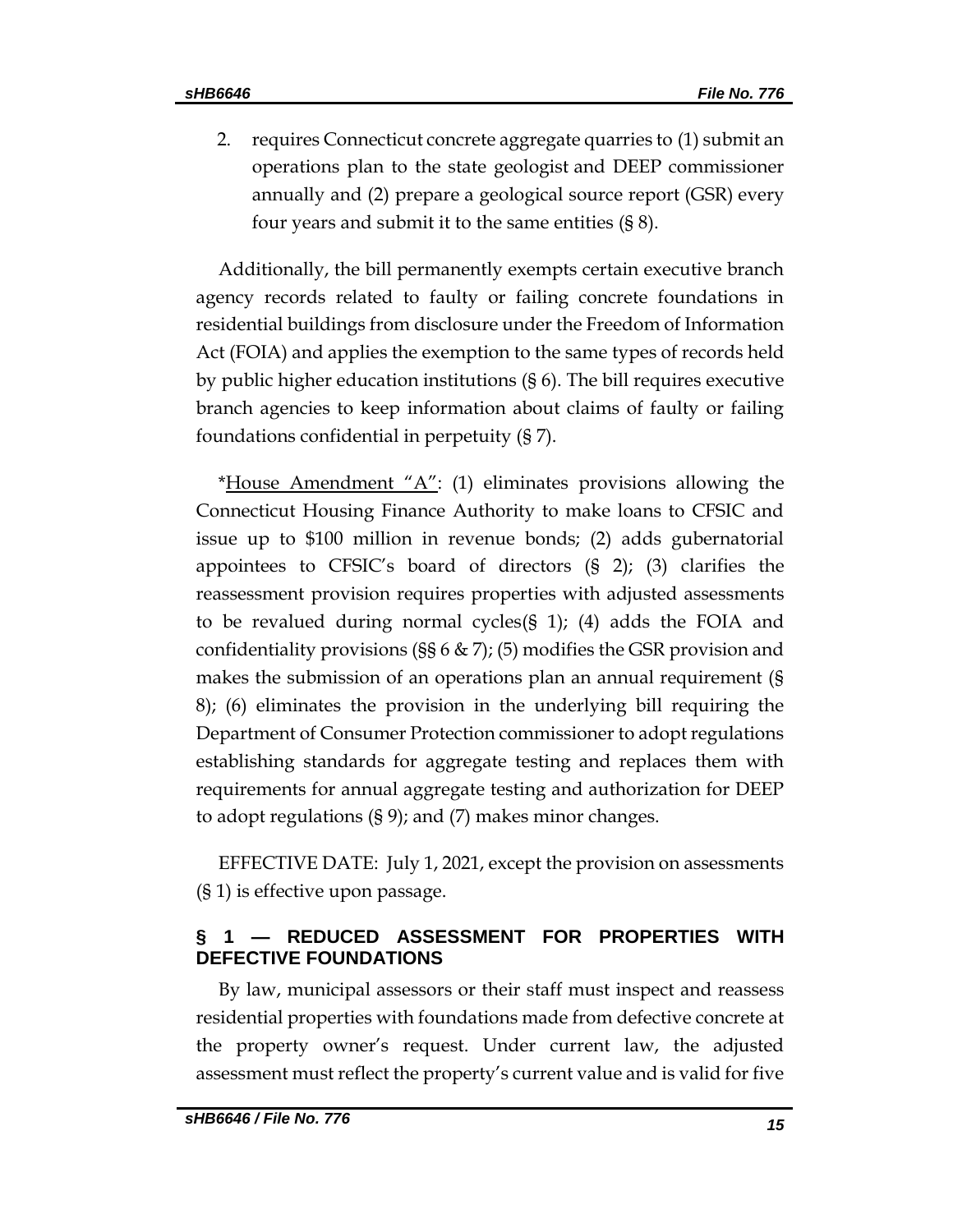2. requires Connecticut concrete aggregate quarries to (1) submit an operations plan to the state geologist and DEEP commissioner annually and (2) prepare a geological source report (GSR) every four years and submit it to the same entities (§ 8).

Additionally, the bill permanently exempts certain executive branch agency records related to faulty or failing concrete foundations in residential buildings from disclosure under the Freedom of Information Act (FOIA) and applies the exemption to the same types of records held by public higher education institutions (§ 6). The bill requires executive branch agencies to keep information about claims of faulty or failing foundations confidential in perpetuity (§ 7).

\*House Amendment  $A''$ : (1) eliminates provisions allowing the Connecticut Housing Finance Authority to make loans to CFSIC and issue up to \$100 million in revenue bonds; (2) adds gubernatorial appointees to CFSIC's board of directors (§ 2); (3) clarifies the reassessment provision requires properties with adjusted assessments to be revalued during normal cycles(§ 1); (4) adds the FOIA and confidentiality provisions (§§ 6 & 7); (5) modifies the GSR provision and makes the submission of an operations plan an annual requirement (§ 8); (6) eliminates the provision in the underlying bill requiring the Department of Consumer Protection commissioner to adopt regulations establishing standards for aggregate testing and replaces them with requirements for annual aggregate testing and authorization for DEEP to adopt regulations (§ 9); and (7) makes minor changes.

EFFECTIVE DATE: July 1, 2021, except the provision on assessments (§ 1) is effective upon passage.

#### **§ 1 — REDUCED ASSESSMENT FOR PROPERTIES WITH DEFECTIVE FOUNDATIONS**

By law, municipal assessors or their staff must inspect and reassess residential properties with foundations made from defective concrete at the property owner's request. Under current law, the adjusted assessment must reflect the property's current value and is valid for five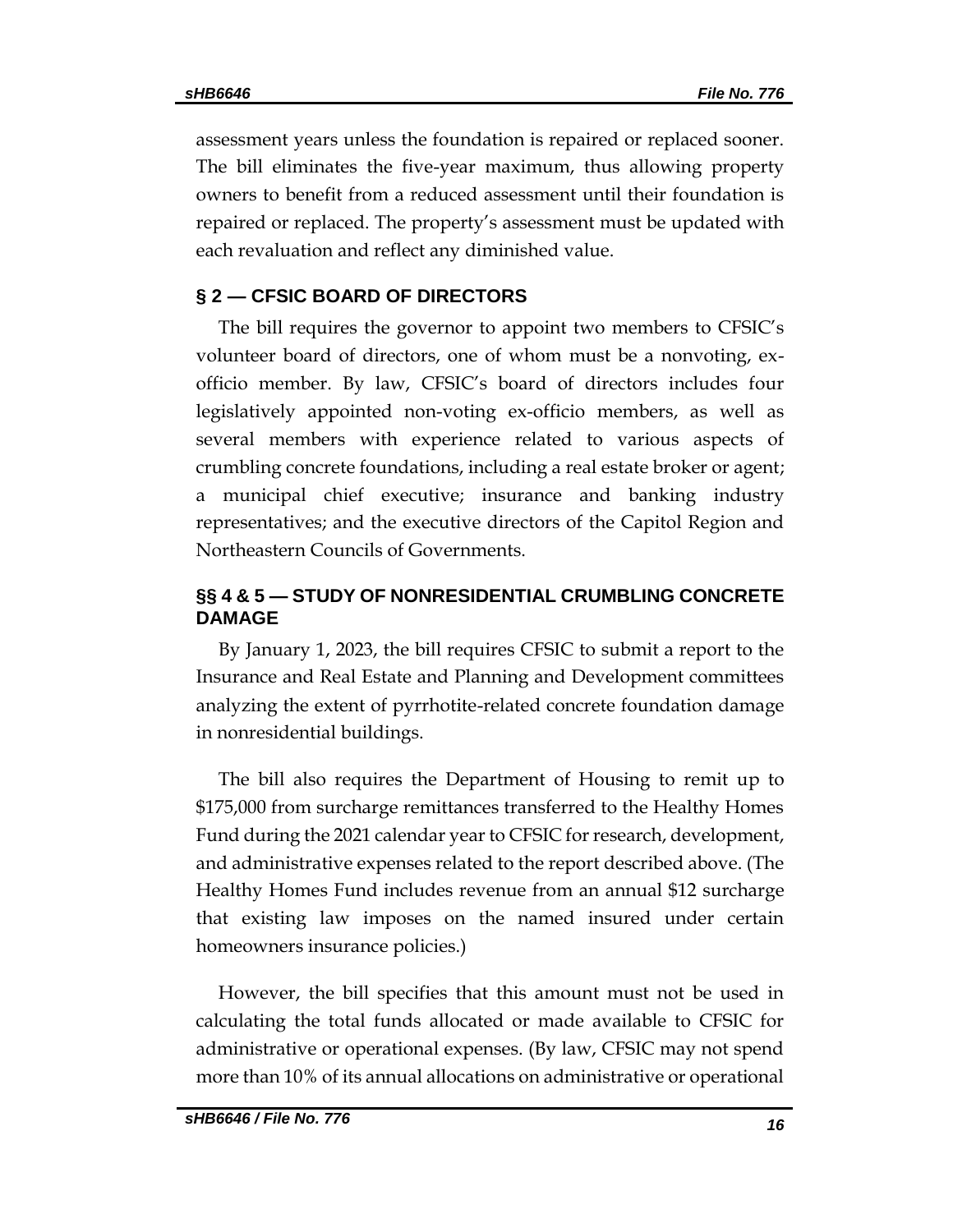assessment years unless the foundation is repaired or replaced sooner. The bill eliminates the five-year maximum, thus allowing property owners to benefit from a reduced assessment until their foundation is repaired or replaced. The property's assessment must be updated with each revaluation and reflect any diminished value.

#### **§ 2 — CFSIC BOARD OF DIRECTORS**

The bill requires the governor to appoint two members to CFSIC's volunteer board of directors, one of whom must be a nonvoting, exofficio member. By law, CFSIC's board of directors includes four legislatively appointed non-voting ex-officio members, as well as several members with experience related to various aspects of crumbling concrete foundations, including a real estate broker or agent; a municipal chief executive; insurance and banking industry representatives; and the executive directors of the Capitol Region and Northeastern Councils of Governments.

### **§§ 4 & 5 — STUDY OF NONRESIDENTIAL CRUMBLING CONCRETE DAMAGE**

By January 1, 2023, the bill requires CFSIC to submit a report to the Insurance and Real Estate and Planning and Development committees analyzing the extent of pyrrhotite-related concrete foundation damage in nonresidential buildings.

The bill also requires the Department of Housing to remit up to \$175,000 from surcharge remittances transferred to the Healthy Homes Fund during the 2021 calendar year to CFSIC for research, development, and administrative expenses related to the report described above. (The Healthy Homes Fund includes revenue from an annual \$12 surcharge that existing law imposes on the named insured under certain homeowners insurance policies.)

However, the bill specifies that this amount must not be used in calculating the total funds allocated or made available to CFSIC for administrative or operational expenses. (By law, CFSIC may not spend more than 10% of its annual allocations on administrative or operational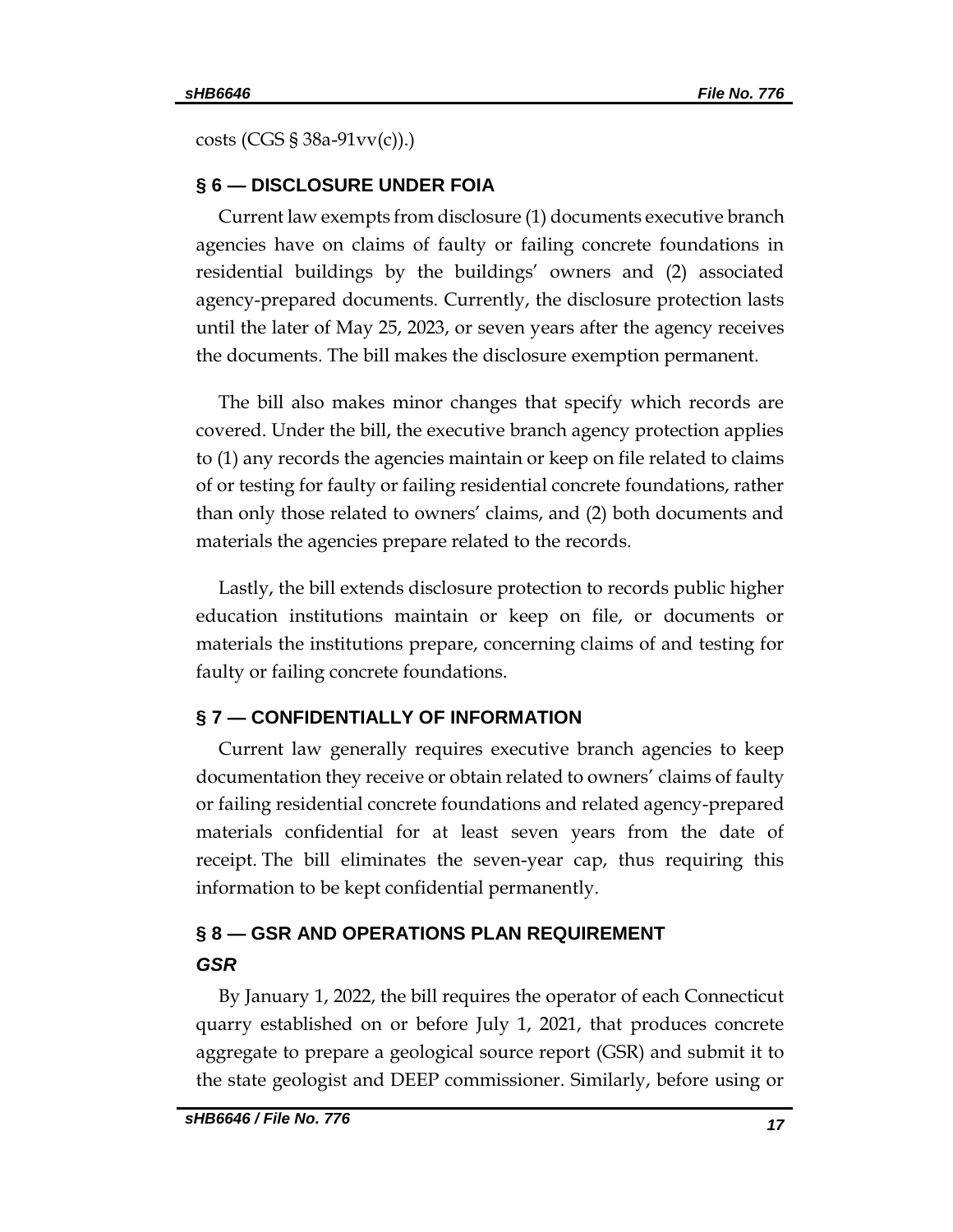costs (CGS § 38a-91vv(c)).)

#### **§ 6 — DISCLOSURE UNDER FOIA**

Current law exempts from disclosure (1) documents executive branch agencies have on claims of faulty or failing concrete foundations in residential buildings by the buildings' owners and (2) associated agency-prepared documents. Currently, the disclosure protection lasts until the later of May 25, 2023, or seven years after the agency receives the documents. The bill makes the disclosure exemption permanent.

The bill also makes minor changes that specify which records are covered. Under the bill, the executive branch agency protection applies to (1) any records the agencies maintain or keep on file related to claims of or testing for faulty or failing residential concrete foundations, rather than only those related to owners' claims, and (2) both documents and materials the agencies prepare related to the records.

Lastly, the bill extends disclosure protection to records public higher education institutions maintain or keep on file, or documents or materials the institutions prepare, concerning claims of and testing for faulty or failing concrete foundations.

## **§ 7 — CONFIDENTIALLY OF INFORMATION**

Current law generally requires executive branch agencies to keep documentation they receive or obtain related to owners' claims of faulty or failing residential concrete foundations and related agency-prepared materials confidential for at least seven years from the date of receipt. The bill eliminates the seven-year cap, thus requiring this information to be kept confidential permanently.

## **§ 8 — GSR AND OPERATIONS PLAN REQUIREMENT**  *GSR*

By January 1, 2022, the bill requires the operator of each Connecticut quarry established on or before July 1, 2021, that produces concrete aggregate to prepare a geological source report (GSR) and submit it to the state geologist and DEEP commissioner. Similarly, before using or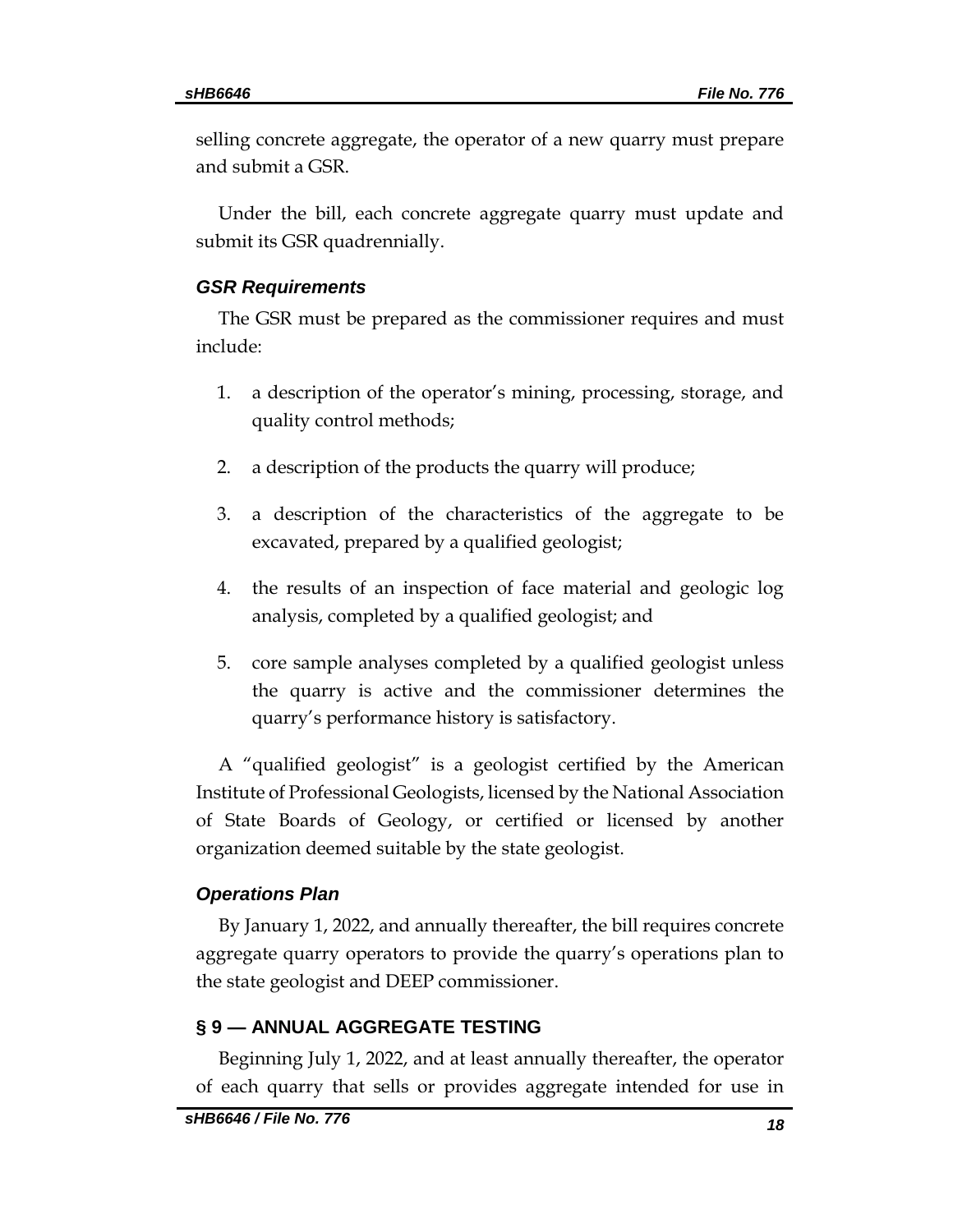selling concrete aggregate, the operator of a new quarry must prepare and submit a GSR.

Under the bill, each concrete aggregate quarry must update and submit its GSR quadrennially.

#### *GSR Requirements*

The GSR must be prepared as the commissioner requires and must include:

- 1. a description of the operator's mining, processing, storage, and quality control methods;
- 2. a description of the products the quarry will produce;
- 3. a description of the characteristics of the aggregate to be excavated, prepared by a qualified geologist;
- 4. the results of an inspection of face material and geologic log analysis, completed by a qualified geologist; and
- 5. core sample analyses completed by a qualified geologist unless the quarry is active and the commissioner determines the quarry's performance history is satisfactory.

A "qualified geologist" is a geologist certified by the American Institute of Professional Geologists, licensed by the National Association of State Boards of Geology, or certified or licensed by another organization deemed suitable by the state geologist.

#### *Operations Plan*

By January 1, 2022, and annually thereafter, the bill requires concrete aggregate quarry operators to provide the quarry's operations plan to the state geologist and DEEP commissioner.

#### **§ 9 — ANNUAL AGGREGATE TESTING**

Beginning July 1, 2022, and at least annually thereafter, the operator of each quarry that sells or provides aggregate intended for use in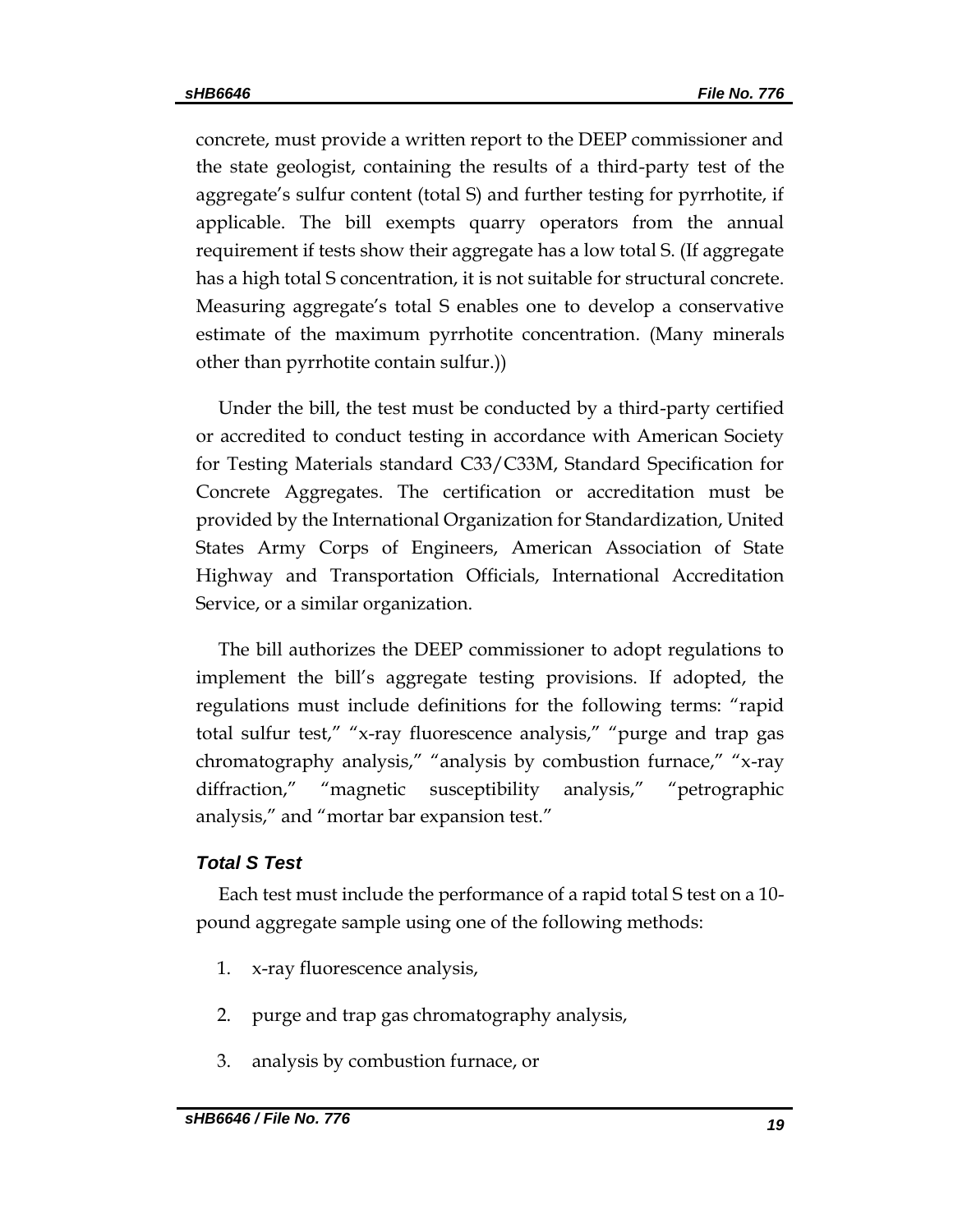concrete, must provide a written report to the DEEP commissioner and the state geologist, containing the results of a third-party test of the aggregate's sulfur content (total S) and further testing for pyrrhotite, if applicable. The bill exempts quarry operators from the annual requirement if tests show their aggregate has a low total S. (If aggregate has a high total S concentration, it is not suitable for structural concrete. Measuring aggregate's total S enables one to develop a conservative estimate of the maximum pyrrhotite concentration. (Many minerals other than pyrrhotite contain sulfur.))

Under the bill, the test must be conducted by a third-party certified or accredited to conduct testing in accordance with American Society for Testing Materials standard C33/C33M, Standard Specification for Concrete Aggregates. The certification or accreditation must be provided by the International Organization for Standardization, United States Army Corps of Engineers, American Association of State Highway and Transportation Officials, International Accreditation Service, or a similar organization.

The bill authorizes the DEEP commissioner to adopt regulations to implement the bill's aggregate testing provisions. If adopted, the regulations must include definitions for the following terms: "rapid total sulfur test," "x-ray fluorescence analysis," "purge and trap gas chromatography analysis," "analysis by combustion furnace," "x-ray diffraction," "magnetic susceptibility analysis," "petrographic analysis," and "mortar bar expansion test."

#### *Total S Test*

Each test must include the performance of a rapid total S test on a 10 pound aggregate sample using one of the following methods:

- 1. x-ray fluorescence analysis,
- 2. purge and trap gas chromatography analysis,
- 3. analysis by combustion furnace, or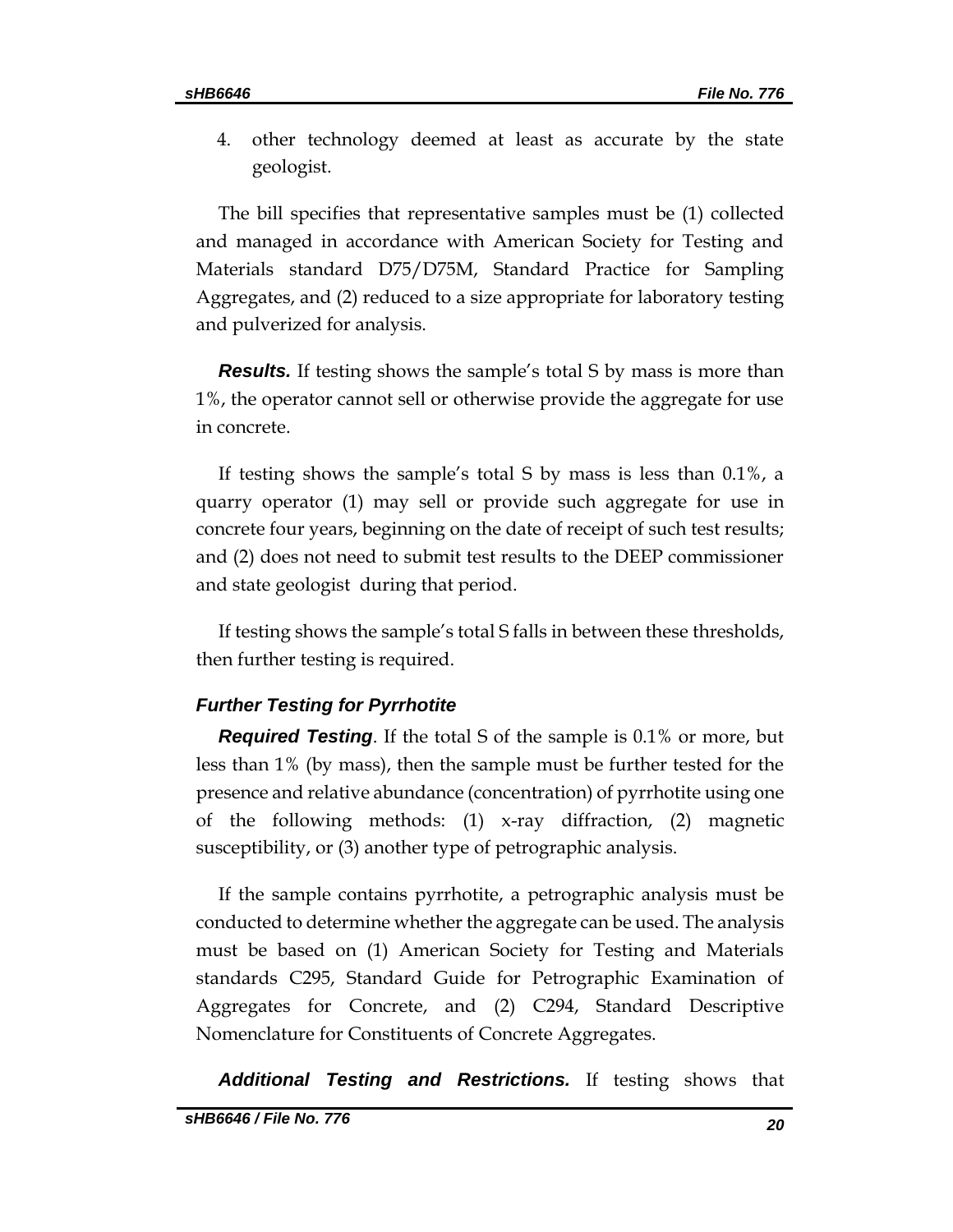4. other technology deemed at least as accurate by the state geologist.

The bill specifies that representative samples must be (1) collected and managed in accordance with American Society for Testing and Materials standard D75/D75M, Standard Practice for Sampling Aggregates, and (2) reduced to a size appropriate for laboratory testing and pulverized for analysis.

*Results.* If testing shows the sample's total S by mass is more than 1%, the operator cannot sell or otherwise provide the aggregate for use in concrete.

If testing shows the sample's total S by mass is less than 0.1%, a quarry operator (1) may sell or provide such aggregate for use in concrete four years, beginning on the date of receipt of such test results; and (2) does not need to submit test results to the DEEP commissioner and state geologist during that period.

If testing shows the sample's total S falls in between these thresholds, then further testing is required.

#### *Further Testing for Pyrrhotite*

*Required Testing*. If the total S of the sample is 0.1% or more, but less than 1% (by mass), then the sample must be further tested for the presence and relative abundance (concentration) of pyrrhotite using one of the following methods: (1) x-ray diffraction, (2) magnetic susceptibility, or (3) another type of petrographic analysis.

If the sample contains pyrrhotite, a petrographic analysis must be conducted to determine whether the aggregate can be used. The analysis must be based on (1) American Society for Testing and Materials standards C295, Standard Guide for Petrographic Examination of Aggregates for Concrete, and (2) C294, Standard Descriptive Nomenclature for Constituents of Concrete Aggregates.

*Additional Testing and Restrictions.* If testing shows that